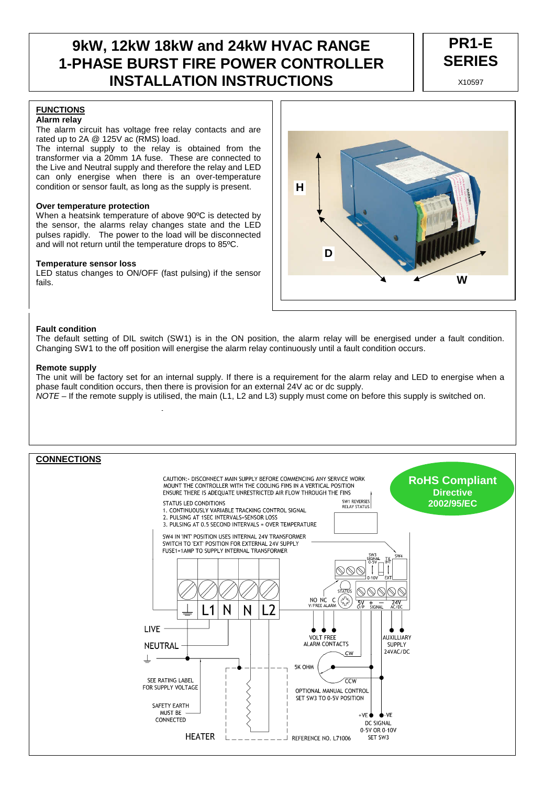# **9kW, 12kW 18kW and 24kW HVAC RANGE 1-PHASE BURST FIRE POWER CONTROLLER INSTALLATION INSTRUCTIONS**



#### **FUNCTIONS Alarm relay**

The alarm circuit has voltage free relay contacts and are rated up to 2A @ 125V ac (RMS) load.

The internal supply to the relay is obtained from the transformer via a 20mm 1A fuse. These are connected to the Live and Neutral supply and therefore the relay and LED can only energise when there is an over-temperature condition or sensor fault, as long as the supply is present.

#### **Over temperature protection**

When a heatsink temperature of above 90ºC is detected by the sensor, the alarms relay changes state and the LED pulses rapidly. The power to the load will be disconnected and will not return until the temperature drops to 85ºC.

#### **Temperature sensor loss**

LED status changes to ON/OFF (fast pulsing) if the sensor fails.



#### **Fault condition**

The default setting of DIL switch (SW1) is in the ON position, the alarm relay will be energised under a fault condition. Changing SW1 to the off position will energise the alarm relay continuously until a fault condition occurs.

#### **Remote supply**

The unit will be factory set for an internal supply. If there is a requirement for the alarm relay and LED to energise when a phase fault condition occurs, then there is provision for an external 24V ac or dc supply. NOTE – If the remote supply is utilised, the main (L1, L2 and L3) supply must come on before this supply is switched on.